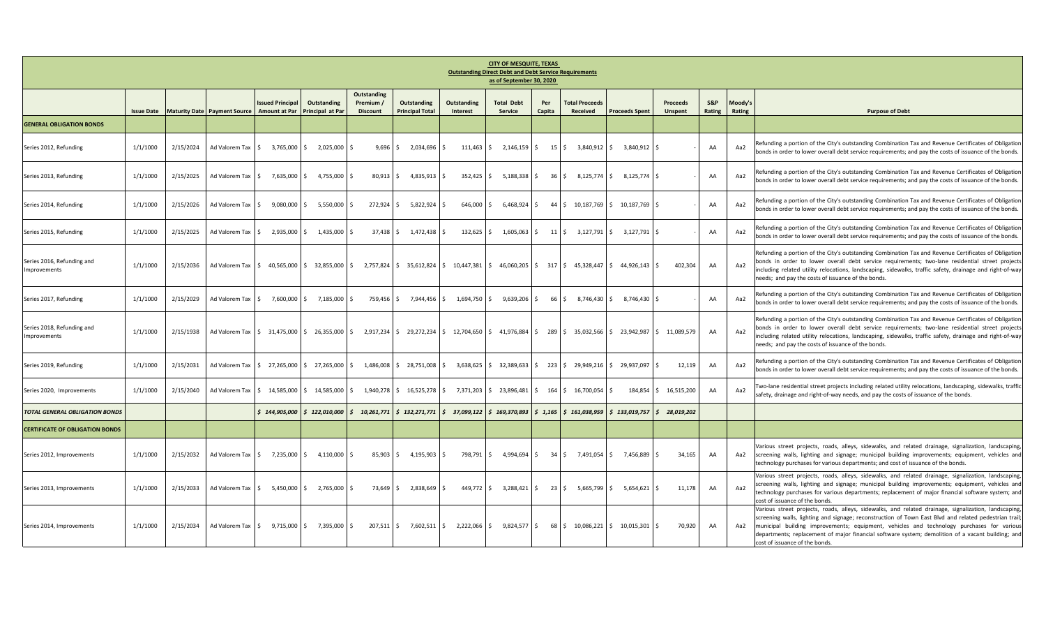| <b>CITY OF MESQUITE, TEXAS</b><br><b>Outstanding Direct Debt and Debt Service Requirements</b><br>as of September 30, 2020 |                   |           |                                                             |                                    |                                                               |                                             |                                       |                                                                                                                                                              |                                     |                    |                                                                                                                |                                                               |                            |               |                   |                                                                                                                                                                                                                                                                                                                                                                                                                                                     |
|----------------------------------------------------------------------------------------------------------------------------|-------------------|-----------|-------------------------------------------------------------|------------------------------------|---------------------------------------------------------------|---------------------------------------------|---------------------------------------|--------------------------------------------------------------------------------------------------------------------------------------------------------------|-------------------------------------|--------------------|----------------------------------------------------------------------------------------------------------------|---------------------------------------------------------------|----------------------------|---------------|-------------------|-----------------------------------------------------------------------------------------------------------------------------------------------------------------------------------------------------------------------------------------------------------------------------------------------------------------------------------------------------------------------------------------------------------------------------------------------------|
|                                                                                                                            | <b>Issue Date</b> |           | Maturity Date Payment Source Amount at Par Principal at Par | <b>Issued Principal</b>            | <b>Outstanding</b>                                            | Outstanding<br>Premium /<br><b>Discount</b> | Outstanding<br><b>Principal Total</b> | Outstanding<br>Interest                                                                                                                                      | <b>Total Debt</b><br><b>Service</b> | Per<br>Capita      | <b>Total Proceeds</b><br>Received                                                                              | <b>Proceeds Spent</b>                                         | Proceeds<br><b>Unspent</b> | S&P<br>Rating | Moody's<br>Rating | <b>Purpose of Debt</b>                                                                                                                                                                                                                                                                                                                                                                                                                              |
| <b>GENERAL OBLIGATION BONDS</b>                                                                                            |                   |           |                                                             |                                    |                                                               |                                             |                                       |                                                                                                                                                              |                                     |                    |                                                                                                                |                                                               |                            |               |                   |                                                                                                                                                                                                                                                                                                                                                                                                                                                     |
| Series 2012, Refunding                                                                                                     | 1/1/1000          | 2/15/2024 |                                                             | Ad Valorem Tax   \$ 3,765,000   \$ | 2.025.000 S                                                   | 9.696                                       | 2,034,696 \$<br>IS.                   |                                                                                                                                                              | $111,463$ \$ 2,146,159              | $\sim$             | 15 \$ 3,840,912 \$                                                                                             | 3.840.912 \$                                                  |                            | AA            | Aa2               | Refunding a portion of the City's outstanding Combination Tax and Revenue Certificates of Obligation<br>bonds in order to lower overall debt service requirements; and pay the costs of issuance of the bonds.                                                                                                                                                                                                                                      |
| Series 2013, Refunding                                                                                                     | 1/1/1000          | 2/15/2025 | Ad Valorem Tax \$                                           | 7,635,000 S                        | 4,755,000 \$                                                  | 80,913                                      | $4,835,913$ \$<br>IS.                 | 352,425                                                                                                                                                      | 5,188,338<br>-S.                    | $\mathsf{S}$<br>36 |                                                                                                                | $\frac{1}{2}$ 8,125,774 $\frac{1}{2}$ 8,125,774 $\frac{1}{2}$ |                            | AA            | Aa2               | Refunding a portion of the City's outstanding Combination Tax and Revenue Certificates of Obligation<br>bonds in order to lower overall debt service requirements; and pay the costs of issuance of the bonds.                                                                                                                                                                                                                                      |
| Series 2014, Refunding                                                                                                     | 1/1/1000          | 2/15/2026 | Ad Valorem Tax 5                                            | 9,080,000 \$                       | 5,550,000 \$                                                  | 272,924                                     | 5,822,924 \$<br>IS.                   | 646,000 \$                                                                                                                                                   | 6,468,924                           | $\mathsf{S}$       | 44 \$ 10,187,769 \$ 10,187,769 \$                                                                              |                                                               |                            | AA            | Aa2               | Refunding a portion of the City's outstanding Combination Tax and Revenue Certificates of Obligation<br>bonds in order to lower overall debt service requirements; and pay the costs of issuance of the bonds.                                                                                                                                                                                                                                      |
| Series 2015, Refunding                                                                                                     | 1/1/1000          | 2/15/2025 | Ad Valorem Tax S                                            | 2,935,000 \$                       | 1,435,000 \$                                                  | $37,438$ \$                                 | 1,472,438 \$                          | 132,625 \$                                                                                                                                                   | 1,605,063                           |                    |                                                                                                                |                                                               |                            | AA            | Aa2               | Refunding a portion of the City's outstanding Combination Tax and Revenue Certificates of Obligation<br>bonds in order to lower overall debt service requirements; and pay the costs of issuance of the bonds.                                                                                                                                                                                                                                      |
| Series 2016, Refunding and<br>Improvements                                                                                 | 1/1/1000          | 2/15/2036 |                                                             |                                    | Ad Valorem Tax   \$ 40,565,000   \$ 32,855,000   \$ 2,757,824 |                                             |                                       | $\frac{1}{5}$ 35,612,824 $\frac{1}{5}$ 10,447,381 $\frac{1}{5}$ 46,060,205 $\frac{1}{5}$ 317 $\frac{1}{5}$ 45,328,447 $\frac{1}{5}$ 44,926,143 $\frac{1}{5}$ |                                     |                    |                                                                                                                |                                                               | 402,304                    | AA            | Aa2               | Refunding a portion of the City's outstanding Combination Tax and Revenue Certificates of Obligation<br>bonds in order to lower overall debt service requirements; two-lane residential street projects<br>including related utility relocations, landscaping, sidewalks, traffic safety, drainage and right-of-way<br>needs; and pay the costs of issuance of the bonds.                                                                           |
| Series 2017, Refunding                                                                                                     | 1/1/1000          | 2/15/2029 | Ad Valorem Tax 5                                            |                                    | 7,600,000 \$ 7,185,000 \$                                     | 759,456                                     | 7,944,456 \$<br>IS.                   | 1,694,750 \$                                                                                                                                                 | 9,639,206                           | 66<br>\$           | \$,746,430                                                                                                     | 8,746,430 \$<br>S.                                            |                            | AA            | Aa2               | Refunding a portion of the City's outstanding Combination Tax and Revenue Certificates of Obligation<br>bonds in order to lower overall debt service requirements; and pay the costs of issuance of the bonds.                                                                                                                                                                                                                                      |
| Series 2018, Refunding and<br>Improvements                                                                                 | 1/1/1000          | 2/15/1938 |                                                             |                                    |                                                               |                                             |                                       | Ad Valorem Tax S 31,475,000 S 26,355,000 S 2,917,234 S 29,272,234 S 12,704,650 S 41,976,884 S 289 S 35,032,566 S 23,942,987 S 11,089,579                     |                                     |                    |                                                                                                                |                                                               |                            | AA            | Aa2               | Refunding a portion of the City's outstanding Combination Tax and Revenue Certificates of Obligation<br>bonds in order to lower overall debt service requirements; two-lane residential street projects<br>including related utility relocations, landscaping, sidewalks, traffic safety, drainage and right-of-way<br>needs; and pay the costs of issuance of the bonds.                                                                           |
| Series 2019, Refunding                                                                                                     | 1/1/1000          | 2/15/2031 |                                                             |                                    | Ad Valorem Tax   \$ 27,265,000   \$ 27,265,000   \$ 1,486,008 |                                             |                                       | $\begin{array}{ccccccc} 5 & 28,751,008 & 5 & 3,638,625 & 5 & 32,389,633 \end{array}$                                                                         |                                     |                    | $\begin{array}{ccccccc} \text{S} & 223 & \text{S} & 29,949,216 & \text{S} & 29,937,097 & \text{S} \end{array}$ |                                                               | 12,119                     | AA            | Aa2               | Refunding a portion of the City's outstanding Combination Tax and Revenue Certificates of Obligation<br>bonds in order to lower overall debt service requirements; and pay the costs of issuance of the bonds.                                                                                                                                                                                                                                      |
| Series 2020, Improvements                                                                                                  | 1/1/1000          | 2/15/2040 |                                                             |                                    |                                                               |                                             |                                       | Ad Valorem Tax   \$ 14,585,000   \$ 14,585,000   \$ 1,940,278   \$ 16,525,278   \$ 7,371,203   \$ 23,896,481                                                 |                                     |                    | $$164$ \$ 16,700,054 \$                                                                                        |                                                               | 184,854 \$ 16,515,200      | AA            | Aa2               | [wo-lane residential street projects including related utility relocations, landscaping, sidewalks, traffic<br>safety, drainage and right-of-way needs, and pay the costs of issuance of the bonds.                                                                                                                                                                                                                                                 |
| TOTAL GENERAL OBLIGATION BONDS                                                                                             |                   |           |                                                             |                                    |                                                               |                                             |                                       | $\frac{1}{2}$ 144,905,000 $\frac{1}{2}$ 122,010,000 $\frac{1}{2}$ 10,261,771 $\frac{1}{2}$ 132,271,771 $\frac{1}{2}$ 37,099,122 $\frac{1}{2}$ 169,370,893    |                                     |                    |                                                                                                                |                                                               |                            |               |                   |                                                                                                                                                                                                                                                                                                                                                                                                                                                     |
| <b>CERTIFICATE OF OBLIGATION BONDS</b>                                                                                     |                   |           |                                                             |                                    |                                                               |                                             |                                       |                                                                                                                                                              |                                     |                    |                                                                                                                |                                                               |                            |               |                   |                                                                                                                                                                                                                                                                                                                                                                                                                                                     |
| Series 2012, Improvements                                                                                                  | 1/1/1000          | 2/15/2032 | Ad Valorem Tax \$                                           | 7,235,000 \$                       | 4,110,000 \$                                                  |                                             | 85,903 \$ 4,195,903 \$                |                                                                                                                                                              | 798,791 \$4,994,694 \$              |                    | 34 \$7,491,054 \$                                                                                              | 7,456,889 \$                                                  | 34,165                     | AA            | Aa2               | Various street projects, roads, alleys, sidewalks, and related drainage, signalization, landscaping,<br>screening walls, lighting and signage; municipal building improvements; equipment, vehicles and<br>technology purchases for various departments; and cost of issuance of the bonds.                                                                                                                                                         |
| Series 2013, Improvements                                                                                                  | 1/1/1000          | 2/15/2033 | Ad Valorem Tax 5                                            | 5,450,000 \$                       | 2,765,000 \$                                                  | 73,649                                      | 2,838,649 \$<br>IS.                   |                                                                                                                                                              | 449,772 \$ 3,288,421                | $\mathsf{S}$       | 23 \$ 5,665,799 \$                                                                                             | 5,654,621                                                     | 11,178                     | AA            | Aa2               | Various street projects, roads, alleys, sidewalks, and related drainage, signalization, landscaping,<br>screening walls, lighting and signage; municipal building improvements; equipment, vehicles and<br>technology purchases for various departments; replacement of major financial software system; and<br>cost of issuance of the bonds.                                                                                                      |
| Series 2014, Improvements                                                                                                  | 1/1/1000          | 2/15/2034 |                                                             |                                    | Ad Valorem Tax   \$ 9,715,000   \$ 7,395,000   \$             |                                             |                                       | 207,511 \$ 7,602,511 \$ 2,222,066 \$ 9,824,577 \$                                                                                                            |                                     |                    | 68 \$10,086,221 \$10,015,301 \$                                                                                |                                                               | 70,920                     | AA            | Aa2               | Various street projects, roads, alleys, sidewalks, and related drainage, signalization, landscaping,<br>; screening walls, lighting and signage; reconstruction of Town East Blvd and related pedestrian trail;<br>municipal building improvements; equipment, vehicles and technology purchases for various<br>departments; replacement of major financial software system; demolition of a vacant building; and<br>cost of issuance of the bonds. |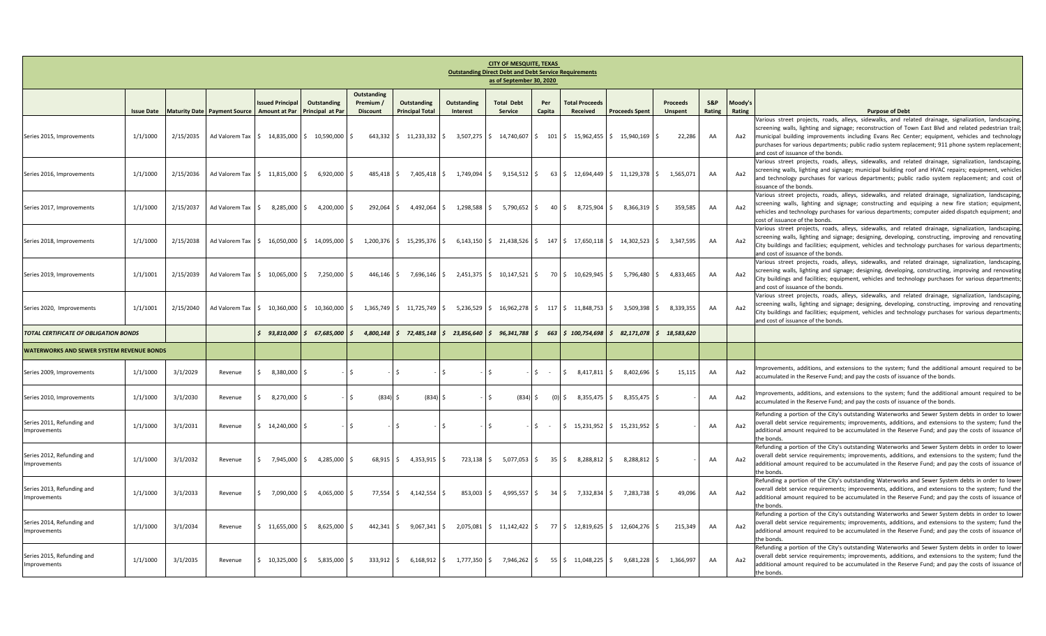| <b>CITY OF MESQUITE, TEXAS</b><br><b>Outstanding Direct Debt and Debt Service Requirements</b><br>as of September 30, 2020 |                   |           |                                                             |                                     |                                                                |                                             |                                       |                                                                                                                                              |                              |                     |                                                                 |                       |                            |               |                   |                                                                                                                                                                                                                                                                                                                                                                                                                                                           |
|----------------------------------------------------------------------------------------------------------------------------|-------------------|-----------|-------------------------------------------------------------|-------------------------------------|----------------------------------------------------------------|---------------------------------------------|---------------------------------------|----------------------------------------------------------------------------------------------------------------------------------------------|------------------------------|---------------------|-----------------------------------------------------------------|-----------------------|----------------------------|---------------|-------------------|-----------------------------------------------------------------------------------------------------------------------------------------------------------------------------------------------------------------------------------------------------------------------------------------------------------------------------------------------------------------------------------------------------------------------------------------------------------|
|                                                                                                                            | <b>Issue Date</b> |           | Maturity Date Payment Source Amount at Par Principal at Par | <b>Issued Principal</b>             | Outstanding                                                    | Outstanding<br>Premium /<br><b>Discount</b> | Outstanding<br><b>Principal Total</b> | Outstanding<br>Interest                                                                                                                      | <b>Total Debt</b><br>Service | Per<br>Capita       | <b>Total Proceeds</b><br>Received                               | <b>Proceeds Spent</b> | Proceeds<br><b>Unspent</b> | S&P<br>Rating | Moody's<br>Rating | <b>Purpose of Debt</b>                                                                                                                                                                                                                                                                                                                                                                                                                                    |
| Series 2015, Improvements                                                                                                  | 1/1/1000          | 2/15/2035 |                                                             |                                     | Ad Valorem Tax   \$ 14,835,000   \$ 10,590,000   \$            |                                             |                                       | 643,332   \$11,233,332   \$3,507,275   \$14,740,607   \$101   \$15,962,455   \$15,940,169   \$                                               |                              |                     |                                                                 |                       | 22,286                     | AA            | Aa2               | Various street projects, roads, alleys, sidewalks, and related drainage, signalization, landscaping<br>; screening walls, lighting and signage; reconstruction of Town East Blvd and related pedestrian trail<br>municipal building improvements including Evans Rec Center; equipment, vehicles and technology<br>purchases for various departments; public radio system replacement; 911 phone system replacement<br>and cost of issuance of the bonds. |
| Series 2016, Improvements                                                                                                  | 1/1/1000          | 2/15/2036 |                                                             | Ad Valorem Tax 5 11.815.000 S       | 6.920.000 S                                                    |                                             |                                       | 485,418 \$ 7,405,418 \$ 1,749,094 \$ 9,154,512                                                                                               |                              | $\mathsf{S}$        | 63 \$ 12,694,449 \$ 11,129,378 \$ 1,565,071                     |                       |                            | AA            | Aa2               | /arious street projects, roads, alleys, sidewalks, and related drainage, signalization, landscaping<br>screening walls, lighting and signage; municipal building roof and HVAC repairs; equipment, vehicles<br>and technology purchases for various departments; public radio system replacement; and cost of<br>ssuance of the bonds.                                                                                                                    |
| Series 2017, Improvements                                                                                                  | 1/1/1000          | 2/15/2037 |                                                             | Ad Valorem Tax \$ 8,285,000 \$      | 4,200,000 \$                                                   |                                             |                                       | 292,064 \$4,492,064 \$1,298,588 \$5,790,652 \$                                                                                               |                              |                     | 40 \$ 8,725,904 \$                                              | 8,366,319 \$          | 359,585                    | AA            | Aa2               | Various street projects, roads, alleys, sidewalks, and related drainage, signalization, landscaping,<br>screening walls, lighting and signage; constructing and equiping a new fire station; equipment<br>vehicles and technology purchases for various departments; computer aided dispatch equipment; and<br>cost of issuance of the bonds.                                                                                                             |
| Series 2018, Improvements                                                                                                  | 1/1/1000          | 2/15/2038 |                                                             | Ad Valorem Tax   \$ 16,050,000   \$ | 14,095,000 \$                                                  | 1,200,376                                   | 15,295,376 \$<br>IS.                  |                                                                                                                                              |                              |                     | $6,143,150$ \$ 21,438,526 \$ 147 \$ 17,650,118 \$ 14,302,523 \$ |                       | 3,347,595                  | AA            | Aa2               | Various street projects, roads, alleys, sidewalks, and related drainage, signalization, landscaping,<br>screening walls, lighting and signage; designing, developing, constructing, improving and renovating<br>ity buildings and facilities; equipment, vehicles and technology purchases for various departments;<br>and cost of issuance of the bonds.                                                                                                 |
| Series 2019, Improvements                                                                                                  | 1/1/1001          | 2/15/2039 |                                                             |                                     | Ad Valorem Tax   \$ 10,065,000   \$ 7,250,000   \$             |                                             |                                       | $446,146$ \$ 7,696,146 \$ 2,451,375 \$ 10,147,521 \$                                                                                         |                              |                     | 70 \$10,629,945 \$5,796,480 \$                                  |                       | 4,833,465                  | AA            | Aa2               | Various street projects, roads, alleys, sidewalks, and related drainage, signalization, landscaping<br>screening walls, lighting and signage; designing, developing, constructing, improving and renovating<br>City buildings and facilities; equipment, vehicles and technology purchases for various departments;<br>and cost of issuance of the bonds.                                                                                                 |
| Series 2020, Improvements                                                                                                  | 1/1/1001          | 2/15/2040 |                                                             |                                     |                                                                |                                             |                                       | Ad Valorem Tax   \$10,360,000   \$10,360,000   \$1,365,749   \$11,725,749   \$5,236,529   \$16,962,278   \$117   \$11,848,753   \$           |                              |                     |                                                                 | 3,509,398 \$          | 8,339,355                  | AA            | Aa2               | Various street projects, roads, alleys, sidewalks, and related drainage, signalization, landscaping<br>screening walls, lighting and signage; designing, developing, constructing, improving and renovating<br>ity buildings and facilities; equipment, vehicles and technology purchases for various departments;<br>and cost of issuance of the bonds.                                                                                                  |
| TOTAL CERTIFICATE OF OBLIGATION BONDS                                                                                      |                   |           |                                                             |                                     | $$93,810,000$ $$67,685,000$                                    | l s<br>4,800,148                            | $5$ 72,485,148                        | $\frac{23,856,640}{5}$ 96,341,788                                                                                                            |                              |                     |                                                                 |                       | 82,171,078 \$ 18,583,620   |               |                   |                                                                                                                                                                                                                                                                                                                                                                                                                                                           |
| <b>WATERWORKS AND SEWER SYSTEM REVENUE BONDS</b>                                                                           |                   |           |                                                             |                                     |                                                                |                                             |                                       |                                                                                                                                              |                              |                     |                                                                 |                       |                            |               |                   |                                                                                                                                                                                                                                                                                                                                                                                                                                                           |
| Series 2009, Improvements                                                                                                  | 1/1/1000          | 3/1/2029  | Revenue                                                     | $$380,000$ \$                       |                                                                |                                             |                                       |                                                                                                                                              | Ŝ.                           | Ś.                  | 8,417,811<br>Ŝ.                                                 | S.<br>8,402,696       | 15,115<br>Ŝ.               | AA            | Aa2               | mprovements, additions, and extensions to the system; fund the additional amount required to be<br>accumulated in the Reserve Fund; and pay the costs of issuance of the bonds.                                                                                                                                                                                                                                                                           |
| Series 2010, Improvements                                                                                                  | 1/1/1000          | 3/1/2030  | Revenue                                                     | $$3,270,000$ \$                     |                                                                | $(834)$ \$<br>I \$                          | $(834)$ \$                            |                                                                                                                                              | (834)<br>S.                  | \$                  | 8,355,475 \$<br>$(0)$ S                                         | 8,355,475             |                            | AA            | Aa2               | mprovements, additions, and extensions to the system; fund the additional amount required to be<br>accumulated in the Reserve Fund; and pay the costs of issuance of the bonds.                                                                                                                                                                                                                                                                           |
| Series 2011, Refunding and<br>Improvements                                                                                 | 1/1/1000          | 3/1/2031  | Revenue                                                     | $$14,240,000$ $$$                   |                                                                | $\sim$                                      |                                       |                                                                                                                                              | -Ś                           | S.<br>$\sim$ $-$    | $$15,231,952$ $$$                                               | 15.231.952            |                            | AA            | Aa2               | Refunding a portion of the City's outstanding Waterworks and Sewer System debts in order to lower<br>overall debt service requirements; improvements, additions, and extensions to the system; fund the<br>additional amount required to be accumulated in the Reserve Fund; and pay the costs of issuance of<br>he bonds.                                                                                                                                |
| Series 2012, Refunding and<br>Improvements                                                                                 | 1/1/1000          | 3/1/2032  | Revenue                                                     | $$7,945,000$ \$                     | 4,285,000 \$                                                   | $68,915$ \$                                 | $4,353,915$ \$                        |                                                                                                                                              | 723,138 \$ 5,077,053         | $\ddot{\mathsf{S}}$ | $35 \frac{1}{2}$<br>8,288,812 \$                                | 8,288,812 \$          |                            | AA            | Aa2               | Refunding a portion of the City's outstanding Waterworks and Sewer System debts in order to lower<br>overall debt service requirements; improvements, additions, and extensions to the system; fund the<br>additional amount required to be accumulated in the Reserve Fund; and pay the costs of issuance of<br>he bonds.                                                                                                                                |
| Series 2013, Refunding and<br>Improvements                                                                                 | 1/1/1000          | 3/1/2033  | Revenue                                                     | $$7,090,000$ \$                     | 4,065,000 \$                                                   | 77,554                                      | $4,142,554$ \$<br>IS.                 | 853,003 \$                                                                                                                                   | 4,995,557                    | $\mathsf{S}$        | 34 \$ 7,332,834 \$                                              | 7,283,738 \$          | 49,096                     | AA            | Aa2               | Refunding a portion of the City's outstanding Waterworks and Sewer System debts in order to lower<br>overall debt service requirements; improvements, additions, and extensions to the system; fund the<br>additional amount required to be accumulated in the Reserve Fund; and pay the costs of issuance of<br>the bonds.                                                                                                                               |
| Series 2014, Refunding and<br>Improvements                                                                                 | 1/1/1000          | 3/1/2034  | Revenue                                                     |                                     | $\frac{1}{2}$ 11,655,000 \$ 8,625,000 \$                       |                                             |                                       | $442,341 \mid \xi$ 9,067,341 $\mid \xi$ 2,075,081 $\mid \xi$ 11,142,422 $\mid \xi$ 77 $\mid \xi$ 12,819,625 $\mid \xi$ 12,604,276 $\mid \xi$ |                              |                     |                                                                 |                       | 215,349                    | AA            | Aa2               | Refunding a portion of the City's outstanding Waterworks and Sewer System debts in order to lower<br>overall debt service requirements; improvements, additions, and extensions to the system; fund the<br>additional amount required to be accumulated in the Reserve Fund; and pay the costs of issuance of<br>he bonds.                                                                                                                                |
| Series 2015, Refunding and<br>Improvements                                                                                 | 1/1/1000          | 3/1/2035  | Revenue                                                     |                                     | $\frac{1}{2}$ 10,325,000 $\frac{1}{2}$ 5,835,000 $\frac{1}{2}$ | 333,912                                     | IS.                                   | $6,168,912$ \$ 1,777,350 \$ 7,946,262 \$                                                                                                     |                              |                     | 55 \$11,048,225 \$9,681,228 \$                                  |                       | 1,366,997                  | AA            | Aa2               | Refunding a portion of the City's outstanding Waterworks and Sewer System debts in order to lower<br>overall debt service requirements; improvements, additions, and extensions to the system; fund the<br>additional amount required to be accumulated in the Reserve Fund; and pay the costs of issuance of<br>the bonds.                                                                                                                               |